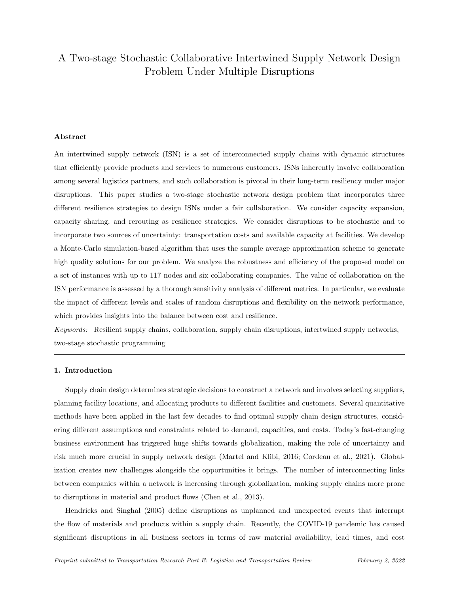# A Two-stage Stochastic Collaborative Intertwined Supply Network Design Problem Under Multiple Disruptions

# Abstract

An intertwined supply network (ISN) is a set of interconnected supply chains with dynamic structures that efficiently provide products and services to numerous customers. ISNs inherently involve collaboration among several logistics partners, and such collaboration is pivotal in their long-term resiliency under major disruptions. This paper studies a two-stage stochastic network design problem that incorporates three different resilience strategies to design ISNs under a fair collaboration. We consider capacity expansion, capacity sharing, and rerouting as resilience strategies. We consider disruptions to be stochastic and to incorporate two sources of uncertainty: transportation costs and available capacity at facilities. We develop a Monte-Carlo simulation-based algorithm that uses the sample average approximation scheme to generate high quality solutions for our problem. We analyze the robustness and efficiency of the proposed model on a set of instances with up to 117 nodes and six collaborating companies. The value of collaboration on the ISN performance is assessed by a thorough sensitivity analysis of different metrics. In particular, we evaluate the impact of different levels and scales of random disruptions and flexibility on the network performance, which provides insights into the balance between cost and resilience.

Keywords: Resilient supply chains, collaboration, supply chain disruptions, intertwined supply networks, two-stage stochastic programming

# 1. Introduction

Supply chain design determines strategic decisions to construct a network and involves selecting suppliers, planning facility locations, and allocating products to different facilities and customers. Several quantitative methods have been applied in the last few decades to find optimal supply chain design structures, considering different assumptions and constraints related to demand, capacities, and costs. Today's fast-changing business environment has triggered huge shifts towards globalization, making the role of uncertainty and risk much more crucial in supply network design (Martel and Klibi, 2016; Cordeau et al., 2021). Globalization creates new challenges alongside the opportunities it brings. The number of interconnecting links between companies within a network is increasing through globalization, making supply chains more prone to disruptions in material and product flows (Chen et al., 2013).

Hendricks and Singhal (2005) define disruptions as unplanned and unexpected events that interrupt the flow of materials and products within a supply chain. Recently, the COVID-19 pandemic has caused significant disruptions in all business sectors in terms of raw material availability, lead times, and cost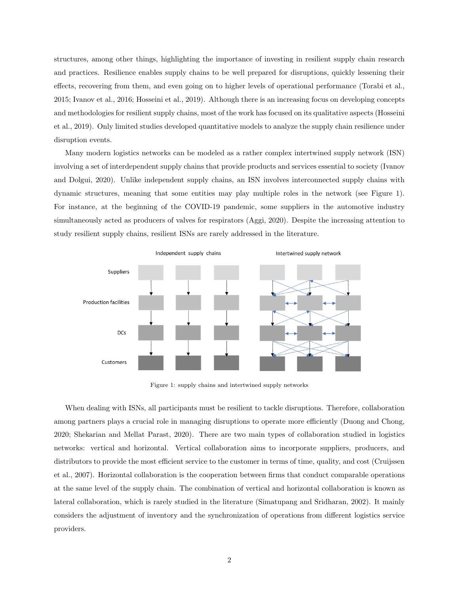structures, among other things, highlighting the importance of investing in resilient supply chain research and practices. Resilience enables supply chains to be well prepared for disruptions, quickly lessening their effects, recovering from them, and even going on to higher levels of operational performance (Torabi et al., 2015; Ivanov et al., 2016; Hosseini et al., 2019). Although there is an increasing focus on developing concepts and methodologies for resilient supply chains, most of the work has focused on its qualitative aspects (Hosseini et al., 2019). Only limited studies developed quantitative models to analyze the supply chain resilience under disruption events.

Many modern logistics networks can be modeled as a rather complex intertwined supply network (ISN) involving a set of interdependent supply chains that provide products and services essential to society (Ivanov and Dolgui, 2020). Unlike independent supply chains, an ISN involves interconnected supply chains with dynamic structures, meaning that some entities may play multiple roles in the network (see Figure 1). For instance, at the beginning of the COVID-19 pandemic, some suppliers in the automotive industry simultaneously acted as producers of valves for respirators (Aggi, 2020). Despite the increasing attention to study resilient supply chains, resilient ISNs are rarely addressed in the literature.



Figure 1: supply chains and intertwined supply networks

When dealing with ISNs, all participants must be resilient to tackle disruptions. Therefore, collaboration among partners plays a crucial role in managing disruptions to operate more efficiently (Duong and Chong, 2020; Shekarian and Mellat Parast, 2020). There are two main types of collaboration studied in logistics networks: vertical and horizontal. Vertical collaboration aims to incorporate suppliers, producers, and distributors to provide the most efficient service to the customer in terms of time, quality, and cost (Cruijssen et al., 2007). Horizontal collaboration is the cooperation between firms that conduct comparable operations at the same level of the supply chain. The combination of vertical and horizontal collaboration is known as lateral collaboration, which is rarely studied in the literature (Simatupang and Sridharan, 2002). It mainly considers the adjustment of inventory and the synchronization of operations from different logistics service providers.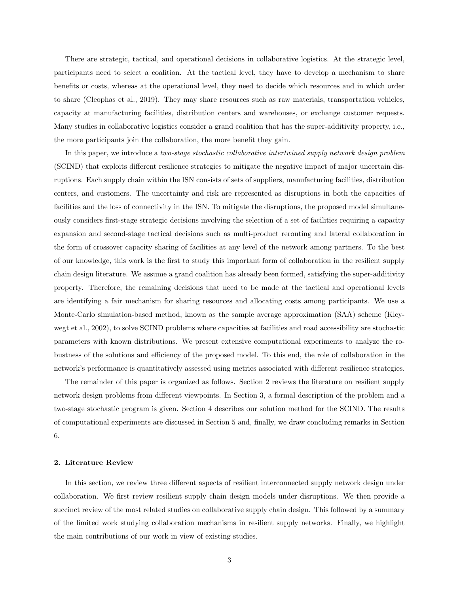There are strategic, tactical, and operational decisions in collaborative logistics. At the strategic level, participants need to select a coalition. At the tactical level, they have to develop a mechanism to share benefits or costs, whereas at the operational level, they need to decide which resources and in which order to share (Cleophas et al., 2019). They may share resources such as raw materials, transportation vehicles, capacity at manufacturing facilities, distribution centers and warehouses, or exchange customer requests. Many studies in collaborative logistics consider a grand coalition that has the super-additivity property, i.e., the more participants join the collaboration, the more benefit they gain.

In this paper, we introduce a two-stage stochastic collaborative intertwined supply network design problem (SCIND) that exploits different resilience strategies to mitigate the negative impact of major uncertain disruptions. Each supply chain within the ISN consists of sets of suppliers, manufacturing facilities, distribution centers, and customers. The uncertainty and risk are represented as disruptions in both the capacities of facilities and the loss of connectivity in the ISN. To mitigate the disruptions, the proposed model simultaneously considers first-stage strategic decisions involving the selection of a set of facilities requiring a capacity expansion and second-stage tactical decisions such as multi-product rerouting and lateral collaboration in the form of crossover capacity sharing of facilities at any level of the network among partners. To the best of our knowledge, this work is the first to study this important form of collaboration in the resilient supply chain design literature. We assume a grand coalition has already been formed, satisfying the super-additivity property. Therefore, the remaining decisions that need to be made at the tactical and operational levels are identifying a fair mechanism for sharing resources and allocating costs among participants. We use a Monte-Carlo simulation-based method, known as the sample average approximation (SAA) scheme (Kleywegt et al., 2002), to solve SCIND problems where capacities at facilities and road accessibility are stochastic parameters with known distributions. We present extensive computational experiments to analyze the robustness of the solutions and efficiency of the proposed model. To this end, the role of collaboration in the network's performance is quantitatively assessed using metrics associated with different resilience strategies.

The remainder of this paper is organized as follows. Section 2 reviews the literature on resilient supply network design problems from different viewpoints. In Section 3, a formal description of the problem and a two-stage stochastic program is given. Section 4 describes our solution method for the SCIND. The results of computational experiments are discussed in Section 5 and, finally, we draw concluding remarks in Section 6.

# 2. Literature Review

In this section, we review three different aspects of resilient interconnected supply network design under collaboration. We first review resilient supply chain design models under disruptions. We then provide a succinct review of the most related studies on collaborative supply chain design. This followed by a summary of the limited work studying collaboration mechanisms in resilient supply networks. Finally, we highlight the main contributions of our work in view of existing studies.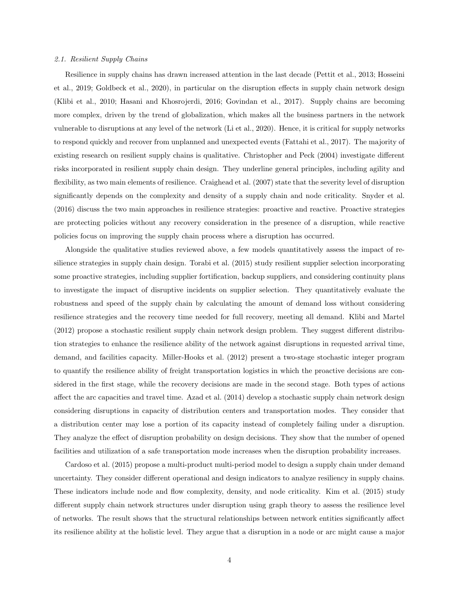#### 2.1. Resilient Supply Chains

Resilience in supply chains has drawn increased attention in the last decade (Pettit et al., 2013; Hosseini et al., 2019; Goldbeck et al., 2020), in particular on the disruption effects in supply chain network design (Klibi et al., 2010; Hasani and Khosrojerdi, 2016; Govindan et al., 2017). Supply chains are becoming more complex, driven by the trend of globalization, which makes all the business partners in the network vulnerable to disruptions at any level of the network (Li et al., 2020). Hence, it is critical for supply networks to respond quickly and recover from unplanned and unexpected events (Fattahi et al., 2017). The majority of existing research on resilient supply chains is qualitative. Christopher and Peck (2004) investigate different risks incorporated in resilient supply chain design. They underline general principles, including agility and flexibility, as two main elements of resilience. Craighead et al. (2007) state that the severity level of disruption significantly depends on the complexity and density of a supply chain and node criticality. Snyder et al. (2016) discuss the two main approaches in resilience strategies: proactive and reactive. Proactive strategies are protecting policies without any recovery consideration in the presence of a disruption, while reactive policies focus on improving the supply chain process where a disruption has occurred.

Alongside the qualitative studies reviewed above, a few models quantitatively assess the impact of resilience strategies in supply chain design. Torabi et al. (2015) study resilient supplier selection incorporating some proactive strategies, including supplier fortification, backup suppliers, and considering continuity plans to investigate the impact of disruptive incidents on supplier selection. They quantitatively evaluate the robustness and speed of the supply chain by calculating the amount of demand loss without considering resilience strategies and the recovery time needed for full recovery, meeting all demand. Klibi and Martel (2012) propose a stochastic resilient supply chain network design problem. They suggest different distribution strategies to enhance the resilience ability of the network against disruptions in requested arrival time, demand, and facilities capacity. Miller-Hooks et al. (2012) present a two-stage stochastic integer program to quantify the resilience ability of freight transportation logistics in which the proactive decisions are considered in the first stage, while the recovery decisions are made in the second stage. Both types of actions affect the arc capacities and travel time. Azad et al. (2014) develop a stochastic supply chain network design considering disruptions in capacity of distribution centers and transportation modes. They consider that a distribution center may lose a portion of its capacity instead of completely failing under a disruption. They analyze the effect of disruption probability on design decisions. They show that the number of opened facilities and utilization of a safe transportation mode increases when the disruption probability increases.

Cardoso et al. (2015) propose a multi-product multi-period model to design a supply chain under demand uncertainty. They consider different operational and design indicators to analyze resiliency in supply chains. These indicators include node and flow complexity, density, and node criticality. Kim et al. (2015) study different supply chain network structures under disruption using graph theory to assess the resilience level of networks. The result shows that the structural relationships between network entities significantly affect its resilience ability at the holistic level. They argue that a disruption in a node or arc might cause a major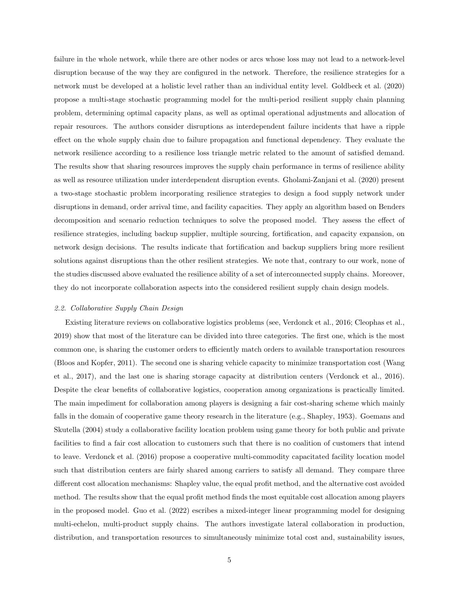failure in the whole network, while there are other nodes or arcs whose loss may not lead to a network-level disruption because of the way they are configured in the network. Therefore, the resilience strategies for a network must be developed at a holistic level rather than an individual entity level. Goldbeck et al. (2020) propose a multi-stage stochastic programming model for the multi-period resilient supply chain planning problem, determining optimal capacity plans, as well as optimal operational adjustments and allocation of repair resources. The authors consider disruptions as interdependent failure incidents that have a ripple effect on the whole supply chain due to failure propagation and functional dependency. They evaluate the network resilience according to a resilience loss triangle metric related to the amount of satisfied demand. The results show that sharing resources improves the supply chain performance in terms of resilience ability as well as resource utilization under interdependent disruption events. Gholami-Zanjani et al. (2020) present a two-stage stochastic problem incorporating resilience strategies to design a food supply network under disruptions in demand, order arrival time, and facility capacities. They apply an algorithm based on Benders decomposition and scenario reduction techniques to solve the proposed model. They assess the effect of resilience strategies, including backup supplier, multiple sourcing, fortification, and capacity expansion, on network design decisions. The results indicate that fortification and backup suppliers bring more resilient solutions against disruptions than the other resilient strategies. We note that, contrary to our work, none of the studies discussed above evaluated the resilience ability of a set of interconnected supply chains. Moreover, they do not incorporate collaboration aspects into the considered resilient supply chain design models.

# 2.2. Collaborative Supply Chain Design

Existing literature reviews on collaborative logistics problems (see, Verdonck et al., 2016; Cleophas et al., 2019) show that most of the literature can be divided into three categories. The first one, which is the most common one, is sharing the customer orders to efficiently match orders to available transportation resources (Bloos and Kopfer, 2011). The second one is sharing vehicle capacity to minimize transportation cost (Wang et al., 2017), and the last one is sharing storage capacity at distribution centers (Verdonck et al., 2016). Despite the clear benefits of collaborative logistics, cooperation among organizations is practically limited. The main impediment for collaboration among players is designing a fair cost-sharing scheme which mainly falls in the domain of cooperative game theory research in the literature (e.g., Shapley, 1953). Goemans and Skutella (2004) study a collaborative facility location problem using game theory for both public and private facilities to find a fair cost allocation to customers such that there is no coalition of customers that intend to leave. Verdonck et al. (2016) propose a cooperative multi-commodity capacitated facility location model such that distribution centers are fairly shared among carriers to satisfy all demand. They compare three different cost allocation mechanisms: Shapley value, the equal profit method, and the alternative cost avoided method. The results show that the equal profit method finds the most equitable cost allocation among players in the proposed model. Guo et al. (2022) escribes a mixed-integer linear programming model for designing multi-echelon, multi-product supply chains. The authors investigate lateral collaboration in production, distribution, and transportation resources to simultaneously minimize total cost and, sustainability issues,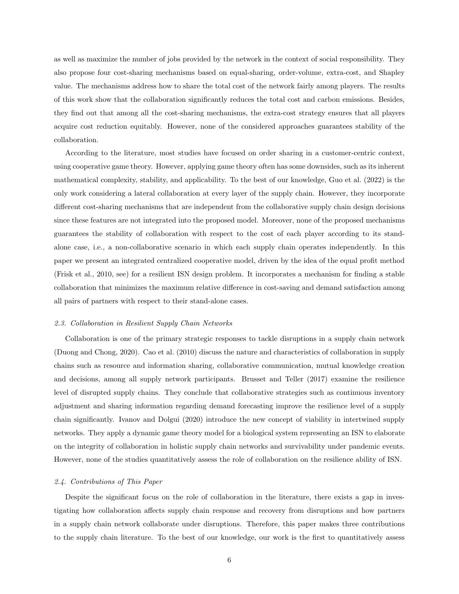as well as maximize the number of jobs provided by the network in the context of social responsibility. They also propose four cost-sharing mechanisms based on equal-sharing, order-volume, extra-cost, and Shapley value. The mechanisms address how to share the total cost of the network fairly among players. The results of this work show that the collaboration significantly reduces the total cost and carbon emissions. Besides, they find out that among all the cost-sharing mechanisms, the extra-cost strategy ensures that all players acquire cost reduction equitably. However, none of the considered approaches guarantees stability of the collaboration.

According to the literature, most studies have focused on order sharing in a customer-centric context, using cooperative game theory. However, applying game theory often has some downsides, such as its inherent mathematical complexity, stability, and applicability. To the best of our knowledge, Guo et al. (2022) is the only work considering a lateral collaboration at every layer of the supply chain. However, they incorporate different cost-sharing mechanisms that are independent from the collaborative supply chain design decisions since these features are not integrated into the proposed model. Moreover, none of the proposed mechanisms guarantees the stability of collaboration with respect to the cost of each player according to its standalone case, i.e., a non-collaborative scenario in which each supply chain operates independently. In this paper we present an integrated centralized cooperative model, driven by the idea of the equal profit method (Frisk et al., 2010, see) for a resilient ISN design problem. It incorporates a mechanism for finding a stable collaboration that minimizes the maximum relative difference in cost-saving and demand satisfaction among all pairs of partners with respect to their stand-alone cases.

#### 2.3. Collaboration in Resilient Supply Chain Networks

Collaboration is one of the primary strategic responses to tackle disruptions in a supply chain network (Duong and Chong, 2020). Cao et al. (2010) discuss the nature and characteristics of collaboration in supply chains such as resource and information sharing, collaborative communication, mutual knowledge creation and decisions, among all supply network participants. Brusset and Teller (2017) examine the resilience level of disrupted supply chains. They conclude that collaborative strategies such as continuous inventory adjustment and sharing information regarding demand forecasting improve the resilience level of a supply chain significantly. Ivanov and Dolgui (2020) introduce the new concept of viability in intertwined supply networks. They apply a dynamic game theory model for a biological system representing an ISN to elaborate on the integrity of collaboration in holistic supply chain networks and survivability under pandemic events. However, none of the studies quantitatively assess the role of collaboration on the resilience ability of ISN.

# 2.4. Contributions of This Paper

Despite the significant focus on the role of collaboration in the literature, there exists a gap in investigating how collaboration affects supply chain response and recovery from disruptions and how partners in a supply chain network collaborate under disruptions. Therefore, this paper makes three contributions to the supply chain literature. To the best of our knowledge, our work is the first to quantitatively assess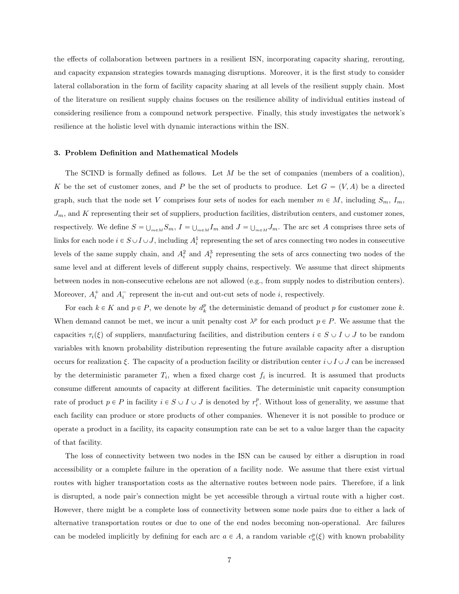the effects of collaboration between partners in a resilient ISN, incorporating capacity sharing, rerouting, and capacity expansion strategies towards managing disruptions. Moreover, it is the first study to consider lateral collaboration in the form of facility capacity sharing at all levels of the resilient supply chain. Most of the literature on resilient supply chains focuses on the resilience ability of individual entities instead of considering resilience from a compound network perspective. Finally, this study investigates the network's resilience at the holistic level with dynamic interactions within the ISN.

# 3. Problem Definition and Mathematical Models

The SCIND is formally defined as follows. Let  $M$  be the set of companies (members of a coalition), K be the set of customer zones, and P be the set of products to produce. Let  $G = (V, A)$  be a directed graph, such that the node set V comprises four sets of nodes for each member  $m \in M$ , including  $S_m$ ,  $I_m$ ,  $J_m$ , and K representing their set of suppliers, production facilities, distribution centers, and customer zones, respectively. We define  $S = \bigcup_{m \in M} S_m$ ,  $I = \bigcup_{m \in M} I_m$  and  $J = \bigcup_{m \in M} J_m$ . The arc set A comprises three sets of links for each node  $i \in S \cup I \cup J$ , including  $A_i^1$  representing the set of arcs connecting two nodes in consecutive levels of the same supply chain, and  $A_i^2$  and  $A_i^3$  representing the sets of arcs connecting two nodes of the same level and at different levels of different supply chains, respectively. We assume that direct shipments between nodes in non-consecutive echelons are not allowed (e.g., from supply nodes to distribution centers). Moreover,  $A_i^+$  and  $A_i^-$  represent the in-cut and out-cut sets of node *i*, respectively.

For each  $k \in K$  and  $p \in P$ , we denote by  $d_k^p$  the deterministic demand of product p for customer zone k. When demand cannot be met, we incur a unit penalty cost  $\lambda^p$  for each product  $p \in P$ . We assume that the capacities  $\tau_i(\xi)$  of suppliers, manufacturing facilities, and distribution centers  $i \in S \cup I \cup J$  to be random variables with known probability distribution representing the future available capacity after a disruption occurs for realization  $\xi$ . The capacity of a production facility or distribution center  $i\cup I\cup J$  can be increased by the deterministic parameter  $T_i$ , when a fixed charge cost  $f_i$  is incurred. It is assumed that products consume different amounts of capacity at different facilities. The deterministic unit capacity consumption rate of product  $p \in P$  in facility  $i \in S \cup I \cup J$  is denoted by  $r_i^p$ . Without loss of generality, we assume that each facility can produce or store products of other companies. Whenever it is not possible to produce or operate a product in a facility, its capacity consumption rate can be set to a value larger than the capacity of that facility.

The loss of connectivity between two nodes in the ISN can be caused by either a disruption in road accessibility or a complete failure in the operation of a facility node. We assume that there exist virtual routes with higher transportation costs as the alternative routes between node pairs. Therefore, if a link is disrupted, a node pair's connection might be yet accessible through a virtual route with a higher cost. However, there might be a complete loss of connectivity between some node pairs due to either a lack of alternative transportation routes or due to one of the end nodes becoming non-operational. Arc failures can be modeled implicitly by defining for each arc  $a \in A$ , a random variable  $c_a^p(\xi)$  with known probability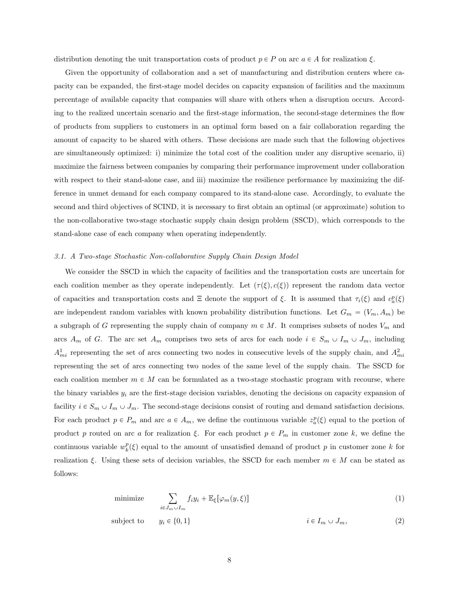distribution denoting the unit transportation costs of product  $p \in P$  on arc  $a \in A$  for realization  $\xi$ .

Given the opportunity of collaboration and a set of manufacturing and distribution centers where capacity can be expanded, the first-stage model decides on capacity expansion of facilities and the maximum percentage of available capacity that companies will share with others when a disruption occurs. According to the realized uncertain scenario and the first-stage information, the second-stage determines the flow of products from suppliers to customers in an optimal form based on a fair collaboration regarding the amount of capacity to be shared with others. These decisions are made such that the following objectives are simultaneously optimized: i) minimize the total cost of the coalition under any disruptive scenario, ii) maximize the fairness between companies by comparing their performance improvement under collaboration with respect to their stand-alone case, and iii) maximize the resilience performance by maximizing the difference in unmet demand for each company compared to its stand-alone case. Accordingly, to evaluate the second and third objectives of SCIND, it is necessary to first obtain an optimal (or approximate) solution to the non-collaborative two-stage stochastic supply chain design problem (SSCD), which corresponds to the stand-alone case of each company when operating independently.

# 3.1. A Two-stage Stochastic Non-collaborative Supply Chain Design Model

We consider the SSCD in which the capacity of facilities and the transportation costs are uncertain for each coalition member as they operate independently. Let  $(\tau(\xi), c(\xi))$  represent the random data vector of capacities and transportation costs and  $\Xi$  denote the support of  $\xi$ . It is assumed that  $\tau_i(\xi)$  and  $c_a^p(\xi)$ are independent random variables with known probability distribution functions. Let  $G_m = (V_m, A_m)$  be a subgraph of G representing the supply chain of company  $m \in M$ . It comprises subsets of nodes  $V_m$  and arcs  $A_m$  of G. The arc set  $A_m$  comprises two sets of arcs for each node  $i \in S_m \cup I_m \cup J_m$ , including  $A_{mi}^1$  representing the set of arcs connecting two nodes in consecutive levels of the supply chain, and  $A_{mi}^2$ representing the set of arcs connecting two nodes of the same level of the supply chain. The SSCD for each coalition member  $m \in M$  can be formulated as a two-stage stochastic program with recourse, where the binary variables  $y_i$  are the first-stage decision variables, denoting the decisions on capacity expansion of facility  $i \in S_m \cup I_m \cup J_m$ . The second-stage decisions consist of routing and demand satisfaction decisions. For each product  $p \in P_m$  and arc  $a \in A_m$ , we define the continuous variable  $z_a^p(\xi)$  equal to the portion of product p routed on arc a for realization  $\xi$ . For each product  $p \in P_m$  in customer zone k, we define the continuous variable  $w_k^p(\xi)$  equal to the amount of unsatisfied demand of product p in customer zone k for realization  $\xi$ . Using these sets of decision variables, the SSCD for each member  $m \in M$  can be stated as follows:

minimize 
$$
\sum_{i \in J_m \cup I_m} f_i y_i + \mathbb{E}_{\xi} [\varphi_m(y, \xi)] \tag{1}
$$

subject to 
$$
y_i \in \{0, 1\}
$$
  $i \in I_m \cup J_m,$  (2)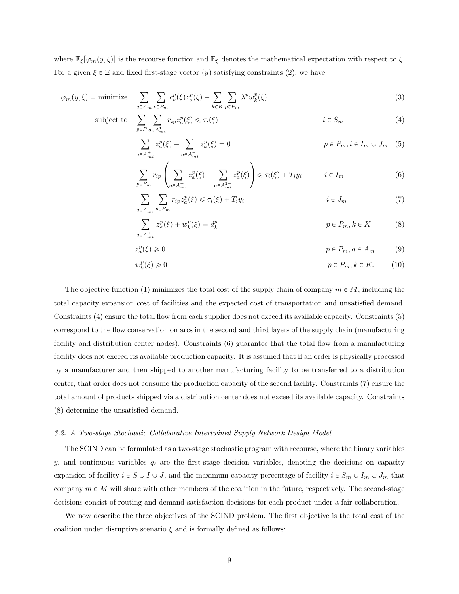where  $\mathbb{E}_{\xi}[\varphi_m(y,\xi)]$  is the recourse function and  $\mathbb{E}_{\xi}$  denotes the mathematical expectation with respect to  $\xi$ . For a given  $\xi \in \Xi$  and fixed first-stage vector  $(y)$  satisfying constraints (2), we have

$$
\varphi_m(y,\xi) = \text{minimize} \quad \sum_{a \in A_m} \sum_{p \in P_m} c_a^p(\xi) z_a^p(\xi) + \sum_{k \in K} \sum_{p \in P_m} \lambda^p w_k^p(\xi) \tag{3}
$$

subject to 
$$
\sum_{p \in P} \sum_{a \in A_{mi}^1} r_{ip} z_a^p(\xi) \leq \tau_i(\xi)
$$
  $i \in S_m$  (4)

$$
\sum_{a \in A_{mi}^+} z_a^p(\xi) - \sum_{a \in A_{mi}^-} z_a^p(\xi) = 0
$$
\n
$$
p \in P_m, i \in I_m \cup J_m \quad (5)
$$

$$
\sum_{p \in P_m} r_{ip} \left( \sum_{a \in A_{mi}^-} z_a^p(\xi) - \sum_{a \in A_{mi}^{2+}} z_a^p(\xi) \right) \leq \tau_i(\xi) + T_i y_i \qquad i \in I_m \tag{6}
$$

$$
\sum_{a \in A_{mi}^-} \sum_{p \in P_m} r_{ip} z_a^p(\xi) \leq \tau_i(\xi) + T_i y_i \qquad i \in J_m \tag{7}
$$

$$
\sum_{a \in A_{mk}^+} z_a^p(\xi) + w_k^p(\xi) = d_k^p \qquad p \in P_m, k \in K \qquad (8)
$$

$$
z_a^p(\xi) \ge 0 \qquad \qquad p \in P_m, a \in A_m \qquad (9)
$$

$$
w_k^p(\xi) \ge 0 \qquad \qquad p \in P_m, k \in K. \tag{10}
$$

The objective function (1) minimizes the total cost of the supply chain of company  $m \in M$ , including the total capacity expansion cost of facilities and the expected cost of transportation and unsatisfied demand. Constraints (4) ensure the total flow from each supplier does not exceed its available capacity. Constraints (5) correspond to the flow conservation on arcs in the second and third layers of the supply chain (manufacturing facility and distribution center nodes). Constraints (6) guarantee that the total flow from a manufacturing facility does not exceed its available production capacity. It is assumed that if an order is physically processed by a manufacturer and then shipped to another manufacturing facility to be transferred to a distribution center, that order does not consume the production capacity of the second facility. Constraints (7) ensure the total amount of products shipped via a distribution center does not exceed its available capacity. Constraints (8) determine the unsatisfied demand.

## 3.2. A Two-stage Stochastic Collaborative Intertwined Supply Network Design Model

The SCIND can be formulated as a two-stage stochastic program with recourse, where the binary variables  $y_i$  and continuous variables  $q_i$  are the first-stage decision variables, denoting the decisions on capacity expansion of facility  $i \in S \cup I \cup J$ , and the maximum capacity percentage of facility  $i \in S_m \cup I_m \cup J_m$  that company  $m \in M$  will share with other members of the coalition in the future, respectively. The second-stage decisions consist of routing and demand satisfaction decisions for each product under a fair collaboration.

We now describe the three objectives of the SCIND problem. The first objective is the total cost of the coalition under disruptive scenario  $\xi$  and is formally defined as follows: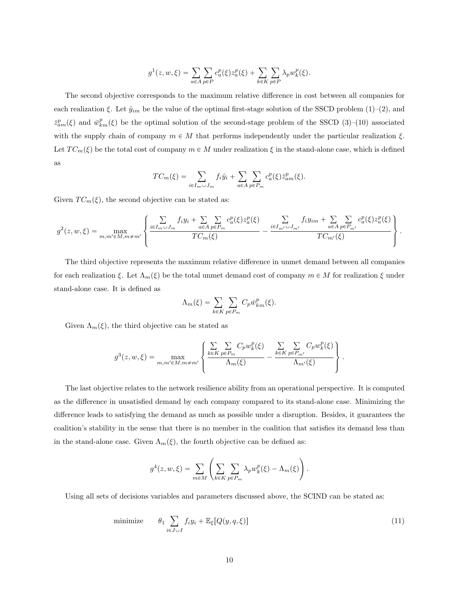$$
g^{1}(z, w, \xi) = \sum_{a \in A} \sum_{p \in P} c_{a}^{p}(\xi) z_{a}^{p}(\xi) + \sum_{k \in K} \sum_{p \in P} \lambda_{p} w_{k}^{p}(\xi).
$$

The second objective corresponds to the maximum relative difference in cost between all companies for each realization  $\xi$ . Let  $\hat{y}_{im}$  be the value of the optimal first-stage solution of the SSCD problem (1)–(2), and  $\bar{z}_{am}^p(\xi)$  and  $\bar{w}_{km}^p(\xi)$  be the optimal solution of the second-stage problem of the SSCD (3)–(10) associated with the supply chain of company  $m \in M$  that performs independently under the particular realization  $\xi$ . Let  $TC_m(\xi)$  be the total cost of company  $m \in M$  under realization  $\xi$  in the stand-alone case, which is defined as

$$
TC_m(\xi) = \sum_{i \in I_m \cup J_m} f_i \hat{y}_i + \sum_{a \in A} \sum_{p \in P_m} c_a^p(\xi) \bar{z}_{am}^p(\xi).
$$

Given  $TC_m(\xi)$ , the second objective can be stated as:

$$
g^{2}(z,w,\xi) = \max_{m,m'\in M,m\neq m'} \left\{ \frac{\sum\limits_{i\in I_{m}\cup J_{m}}f_{i}y_{i} + \sum\limits_{a\in A}\sum\limits_{p\in P_{m}}c_{a}^{p}(\xi)z_{a}^{p}(\xi)}{TC_{m}(\xi)} - \frac{\sum\limits_{i\in I_{m'}\cup J_{m'}}f_{i}y_{im} + \sum\limits_{a\in A}\sum\limits_{p\in P_{m'}}c_{a}^{p}(\xi)z_{a}^{p}(\xi)}{TC_{m'}(\xi)} \right\}
$$

.

The third objective represents the maximum relative difference in unmet demand between all companies for each realization  $\xi$ . Let  $\Lambda_m(\xi)$  be the total unmet demand cost of company  $m \in M$  for realization  $\xi$  under stand-alone case. It is defined as

$$
\Lambda_m(\xi) = \sum_{k \in K} \sum_{p \in P_m} C_p \bar{w}_{km}^p(\xi).
$$

Given  $\Lambda_m(\xi)$ , the third objective can be stated as

$$
g^{3}(z, w, \xi) = \max_{m, m' \in M, m \neq m'} \left\{ \frac{\sum_{k \in K} \sum_{p \in P_m} C_p w_k^p(\xi)}{\Lambda_m(\xi)} - \frac{\sum_{k \in K} \sum_{p \in P_{m'}} C_p w_k^p(\xi)}{\Lambda_{m'}(\xi)} \right\}.
$$

The last objective relates to the network resilience ability from an operational perspective. It is computed as the difference in unsatisfied demand by each company compared to its stand-alone case. Minimizing the difference leads to satisfying the demand as much as possible under a disruption. Besides, it guarantees the coalition's stability in the sense that there is no member in the coalition that satisfies its demand less than in the stand-alone case. Given  $\Lambda_m(\xi)$ , the fourth objective can be defined as:

$$
g^{4}(z, w, \xi) = \sum_{m \in M} \left( \sum_{k \in K} \sum_{p \in P_{m}} \lambda_{p} w_{k}^{p}(\xi) - \Lambda_{m}(\xi) \right).
$$

Using all sets of decisions variables and parameters discussed above, the SCIND can be stated as:

minimize 
$$
\theta_1 \sum_{i \in J \cup I} f_i y_i + \mathbb{E}_{\xi}[Q(y, q, \xi)]
$$
 (11)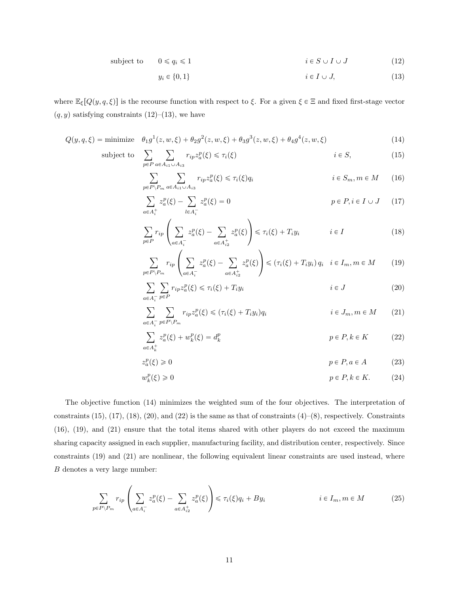subject to 
$$
0 \le q_i \le 1
$$
  $i \in S \cup I \cup J$  (12)

$$
y_i \in \{0, 1\} \qquad i \in I \cup J,\tag{13}
$$

where  $\mathbb{E}_{\xi}[Q(y, q, \xi)]$  is the recourse function with respect to  $\xi$ . For a given  $\xi \in \Xi$  and fixed first-stage vector  $(q, y)$  satisfying constraints (12)–(13), we have

$$
Q(y, q, \xi) = \text{minimize} \quad \theta_1 g^1(z, w, \xi) + \theta_2 g^2(z, w, \xi) + \theta_3 g^3(z, w, \xi) + \theta_4 g^4(z, w, \xi) \tag{14}
$$

subject to

$$
\sum_{p \in P} \sum_{a \in A_{i1} \cup A_{i3}} r_{ip} z_a^p(\xi) \leqslant \tau_i(\xi) \qquad i \in S,
$$
\n(15)

$$
\sum_{p \in P \backslash P_m} \sum_{a \in A_{i1} \cup A_{i3}} r_{ip} z_a^p(\xi) \leq \tau_i(\xi) q_i \qquad i \in S_m, m \in M \qquad (16)
$$

$$
\sum_{a \in A_i^+} z_a^p(\xi) - \sum_{l \in A_i^-} z_a^p(\xi) = 0
$$
\n
$$
p \in P, i \in I \cup J \qquad (17)
$$

$$
\sum_{p \in P} r_{ip} \left( \sum_{a \in A_i^-} z_a^p(\xi) - \sum_{a \in A_{i2}^+} z_a^p(\xi) \right) \leq \tau_i(\xi) + T_i y_i \qquad i \in I \tag{18}
$$

$$
\sum_{p \in P \setminus P_m} r_{ip} \left( \sum_{a \in A_i^-} z_a^p(\xi) - \sum_{a \in A_{i2}^+} z_a^p(\xi) \right) \le (\tau_i(\xi) + T_i y_i) q_i \quad i \in I_m, m \in M \tag{19}
$$

$$
\sum_{a \in A_i^-} \sum_{p \in P} r_{ip} z_a^p(\xi) \leq \tau_i(\xi) + T_i y_i \qquad i \in J \tag{20}
$$

$$
\sum_{a \in A_i^-} \sum_{p \in P \setminus P_m} r_{ip} z_a^p(\xi) \le (\tau_i(\xi) + T_i y_i) q_i \qquad i \in J_m, m \in M \qquad (21)
$$

$$
\sum_{a \in A_k^+} z_a^p(\xi) + w_k^p(\xi) = d_k^p \qquad \qquad p \in P, k \in K \tag{22}
$$

$$
z_a^p(\xi) \ge 0 \qquad \qquad p \in P, a \in A \tag{23}
$$

$$
w_k^p(\xi) \ge 0 \qquad \qquad p \in P, k \in K. \tag{24}
$$

The objective function (14) minimizes the weighted sum of the four objectives. The interpretation of constraints  $(15)$ ,  $(17)$ ,  $(18)$ ,  $(20)$ , and  $(22)$  is the same as that of constraints  $(4)$ – $(8)$ , respectively. Constraints (16), (19), and (21) ensure that the total items shared with other players do not exceed the maximum sharing capacity assigned in each supplier, manufacturing facility, and distribution center, respectively. Since constraints (19) and (21) are nonlinear, the following equivalent linear constraints are used instead, where  $\boldsymbol{B}$  denotes a very large number:

$$
\sum_{p \in P \backslash P_m} r_{ip} \left( \sum_{a \in A_i^-} z_a^p(\xi) - \sum_{a \in A_{i2}^+} z_a^p(\xi) \right) \leqslant \tau_i(\xi) q_i + By_i \qquad i \in I_m, m \in M \tag{25}
$$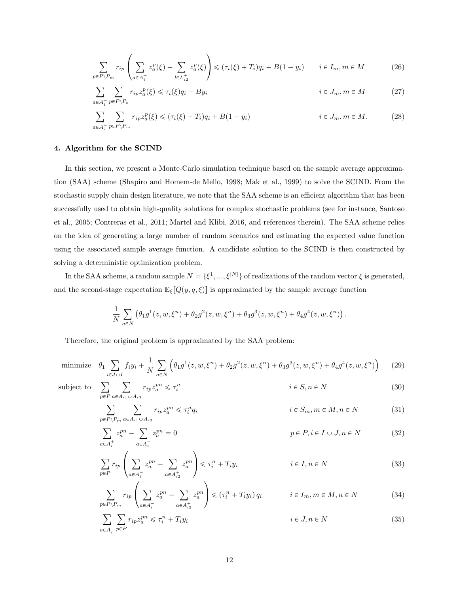$$
\sum_{p \in P \backslash P_m} r_{ip} \left( \sum_{a \in A_i^-} z_a^p(\xi) - \sum_{l \in L_{iz}^+} z_a^p(\xi) \right) \leqslant (\tau_i(\xi) + T_i) q_i + B(1 - y_i) \qquad i \in I_m, m \in M \tag{26}
$$

$$
\sum_{a \in A_i^-} \sum_{p \in P \backslash P_c} r_{ip} z_a^p(\xi) \leq \tau_i(\xi) q_i + By_i \qquad i \in J_m, m \in M \tag{27}
$$

$$
\sum_{a \in A_i^-} \sum_{p \in P \backslash P_m} r_{ip} z_a^p(\xi) \leq (\tau_i(\xi) + T_i) q_i + B(1 - y_i) \qquad i \in J_m, m \in M. \tag{28}
$$

# 4. Algorithm for the SCIND

In this section, we present a Monte-Carlo simulation technique based on the sample average approximation (SAA) scheme (Shapiro and Homem-de Mello, 1998; Mak et al., 1999) to solve the SCIND. From the stochastic supply chain design literature, we note that the SAA scheme is an efficient algorithm that has been successfully used to obtain high-quality solutions for complex stochastic problems (see for instance, Santoso et al., 2005; Contreras et al., 2011; Martel and Klibi, 2016, and references therein). The SAA scheme relies on the idea of generating a large number of random scenarios and estimating the expected value function using the associated sample average function. A candidate solution to the SCIND is then constructed by solving a deterministic optimization problem.

In the SAA scheme, a random sample  $N = \{ \xi^1, ..., \xi^{|N|} \}$  of realizations of the random vector  $\xi$  is generated, and the second-stage expectation  $\mathbb{E}_{\xi}[Q(y, q, \xi)]$  is approximated by the sample average function

$$
\frac{1}{N} \sum_{n \in N} \left( \theta_1 g^1(z, w, \xi^n) + \theta_2 g^2(z, w, \xi^n) + \theta_3 g^3(z, w, \xi^n) + \theta_4 g^4(z, w, \xi^n) \right)
$$

Therefore, the original problem is approximated by the SAA problem:

minimize 
$$
\theta_1 \sum_{i \in J \cup I} f_i y_i + \frac{1}{N} \sum_{n \in N} \left( \theta_1 g^1(z, w, \xi^n) + \theta_2 g^2(z, w, \xi^n) + \theta_3 g^3(z, w, \xi^n) + \theta_4 g^4(z, w, \xi^n) \right)
$$
 (29)

 $\mathop{\mathrm{subject}}$  to

 $p$ 

$$
\sum_{p \in P} \sum_{a \in A_{i1} \cup A_{i3}} r_{ip} z_a^{pn} \leqslant \tau_i^n \qquad i \in S, n \in N \tag{30}
$$

.

$$
\sum_{i \in P \backslash P_m} \sum_{a \in A_{i1} \cup A_{i3}} r_{ip} z_a^{pn} \leqslant \tau_i^n q_i \qquad i \in S_m, m \in M, n \in N \tag{31}
$$

$$
\sum_{a \in A_i^+} z_a^{pn} - \sum_{a \in A_i^-} z_a^{pn} = 0
$$
\n
$$
p \in P, i \in I \cup J, n \in N
$$
\n(32)

$$
\sum_{p \in P} r_{ip} \left( \sum_{a \in A_i^-} z_a^{pn} - \sum_{a \in A_{i2}^+} z_a^{pn} \right) \leqslant \tau_i^n + T_i y_i \qquad i \in I, n \in N \tag{33}
$$

$$
\sum_{p \in P \backslash P_m} r_{ip} \left( \sum_{a \in A_i^-} z_a^{pn} - \sum_{a \in A_{i2}^+} z_a^{pn} \right) \leqslant (\tau_i^n + T_i y_i) q_i \qquad i \in I_m, m \in M, n \in N \tag{34}
$$

$$
\sum_{a \in A_i^-} \sum_{p \in P} r_{ip} z_a^{pn} \leqslant \tau_i^n + T_i y_i \qquad i \in J, n \in N \tag{35}
$$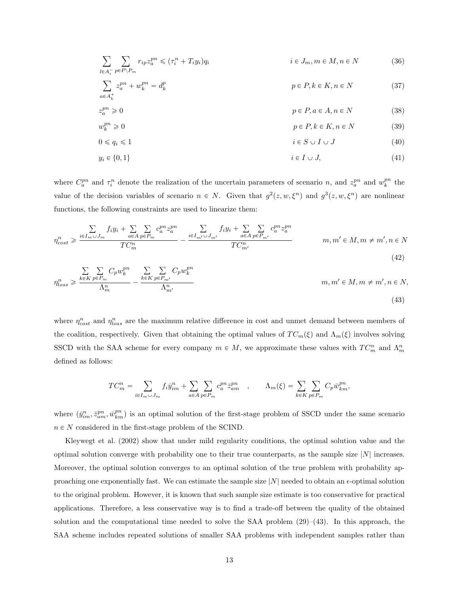$$
\sum_{l \in A_i^-} \sum_{p \in P \backslash P_m} r_{ip} z_a^{pn} \le (\tau_i^n + T_i y_i) q_i \qquad i \in J_m, m \in M, n \in N \tag{36}
$$

$$
\sum_{a \in A_k^+} z_a^{pn} + w_k^{pn} = d_k^p
$$
\n
$$
p \in P, k \in K, n \in N
$$
\n(37)

$$
z_a^{pn} \geqslant 0 \tag{38}
$$

$$
w_k^{pn} \geqslant 0 \tag{39}
$$

$$
0 \le q_i \le 1 \tag{40}
$$

$$
y_i \in \{0, 1\} \qquad \qquad i \in I \cup J,\tag{41}
$$

where  $C_a^{pn}$  and  $\tau_i^n$  denote the realization of the uncertain parameters of scenario n, and  $z_a^{pn}$  and  $w_k^{pn}$  the value of the decision variables of scenario  $n \in N$ . Given that  $g^2(z, w, \xi^n)$  and  $g^3(z, w, \xi^n)$  are nonlinear functions, the following constraints are used to linearize them:

$$
\eta_{cost}^{n} \geq \frac{\sum\limits_{i \in I_m \cup J_m} f_i y_i + \sum\limits_{a \in A} \sum\limits_{p \in P_m} c_a^{pn} z_a^{pn}}{TC_m^n} - \frac{\sum\limits_{i \in I_{m'} \cup J_{m'}} f_i y_i + \sum\limits_{a \in A} \sum\limits_{p \in P_{m'}} c_a^{pn} z_a^{pn}}{TC_{m'}^n} \qquad m, m' \in M, m \neq m', n \in N
$$
\n(42)

$$
\eta_{loss}^n \geq \frac{\sum_{k \in K} \sum_{p \in P_m} C_p w_k^{pn}}{\Lambda_m^n} - \frac{\sum_{k \in K} \sum_{p \in P_{m'}} C_p w_k^{pn}}{\Lambda_{m'}^n} \qquad m, m' \in M, m \neq m', n \in N,
$$
\n(43)

where  $\eta_{cost}^n$  and  $\eta_{loss}^n$  are the maximum relative difference in cost and unmet demand between members of the coalition, respectively. Given that obtaining the optimal values of  $TC_m(\xi)$  and  $\Lambda_m(\xi)$  involves solving SSCD with the SAA scheme for every company  $m \in M$ , we approximate these values with  $TC_m^n$  and  $\Lambda_m^n$ defined as follows:

$$
TC_m^n = \sum_{i \in I_m \cup J_m} f_i \bar{y}_{im}^n + \sum_{a \in A} \sum_{p \in P_m} c_a^{pn} \bar{z}_{am}^{pn} , \qquad \Lambda_m(\xi) = \sum_{k \in K} \sum_{p \in P_m} C_p \bar{w}_{km}^{pn},
$$

where  $(\bar{y}_{im}^n, \bar{z}_{am}^{pn}, \bar{w}_{km}^{pn})$  is an optimal solution of the first-stage problem of SSCD under the same scenario  $n \in N$  considered in the first-stage problem of the SCIND.

Kleywegt et al. (2002) show that under mild regularity conditions, the optimal solution value and the optimal solution converge with probability one to their true counterparts, as the sample size  $|N|$  increases. Moreover, the optimal solution converges to an optimal solution of the true problem with probability approaching one exponentially fast. We can estimate the sample size  $|N|$  needed to obtain an  $\epsilon$ -optimal solution to the original problem. However, it is known that such sample size estimate is too conservative for practical applications. Therefore, a less conservative way is to find a trade-off between the quality of the obtained solution and the computational time needed to solve the SAA problem  $(29)$ – $(43)$ . In this approach, the SAA scheme includes repeated solutions of smaller SAA problems with independent samples rather than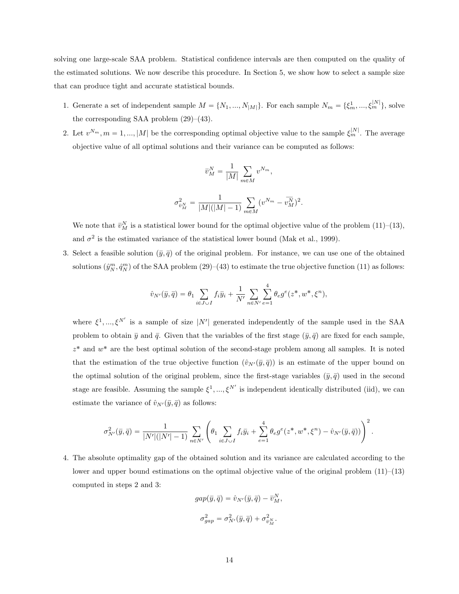solving one large-scale SAA problem. Statistical confidence intervals are then computed on the quality of the estimated solutions. We now describe this procedure. In Section 5, we show how to select a sample size that can produce tight and accurate statistical bounds.

- 1. Generate a set of independent sample  $M = \{N_1, ..., N_{|M|}\}\.$  For each sample  $N_m = \{\xi_m^1, ..., \xi_m^{|N|}\}\,$  solve the corresponding SAA problem  $(29)$ – $(43)$ .
- 2. Let  $v^{N_m}$ ,  $m = 1, ..., |M|$  be the corresponding optimal objective value to the sample  $\xi_m^{|N|}$ . The average objective value of all optimal solutions and their variance can be computed as follows:

$$
\overline{v}_{M}^{N} = \frac{1}{|M|} \sum_{m \in M} v^{N_{m}},
$$
  

$$
\sigma_{\overline{v}_{M}^{N}}^{2} = \frac{1}{|M|(|M|-1)} \sum_{m \in M} (v^{N_{m}} - \overline{v_{M}^{N}})^{2}.
$$

We note that  $\bar{v}_M^N$  is a statistical lower bound for the optimal objective value of the problem (11)–(13), and  $\sigma^2$  is the estimated variance of the statistical lower bound (Mak et al., 1999).

3. Select a feasible solution  $(\bar{y}, \bar{q})$  of the original problem. For instance, we can use one of the obtained solutions  $(\hat{y}_N^m, \hat{q}_N^m)$  of the SAA problem  $(29)-(43)$  to estimate the true objective function  $(11)$  as follows:

$$
\hat{v}_{N'}(\bar{y},\bar{q})=\theta_1\sum_{i\in J\cup I}f_i\bar{y}_i+\frac{1}{N'}\sum_{n\in N'}\sum_{e=1}^4\theta_e g^e(z^*,w^*,\xi^n),
$$

where  $\xi^1, ..., \xi^{N'}$  is a sample of size |N'| generated independently of the sample used in the SAA problem to obtain  $\bar{y}$  and  $\bar{q}$ . Given that the variables of the first stage  $(\bar{y}, \bar{q})$  are fixed for each sample,  $z^*$  and  $w^*$  are the best optimal solution of the second-stage problem among all samples. It is noted that the estimation of the true objective function  $(\hat{v}_{N'}(\bar{y}, \bar{q}))$  is an estimate of the upper bound on the optimal solution of the original problem, since the first-stage variables  $(\bar{y}, \bar{q})$  used in the second stage are feasible. Assuming the sample  $\xi^1, ..., \xi^{N'}$  is independent identically distributed (iid), we can estimate the variance of  $\hat{v}_{N'}(\bar{y}, \bar{q})$  as follows:

$$
\sigma_{N'}^2(\bar{y},\bar{q})=\frac{1}{|N'|\big(|N'|-1\big)}\sum_{n\in N'}\left(\theta_1\sum_{i\in J\cup I}f_i\bar{y}_i+\sum_{e=1}^4\theta_e g^e\big(z^*,w^*,\xi^n\big)-\hat{v}_{N'}(\bar{y},\bar{q})\big)\right)^2.
$$

4. The absolute optimality gap of the obtained solution and its variance are calculated according to the lower and upper bound estimations on the optimal objective value of the original problem  $(11)–(13)$ computed in steps 2 and 3:

$$
gap(\bar{y}, \bar{q}) = \hat{v}_{N'}(\bar{y}, \bar{q}) - \bar{v}_M^N,
$$
  

$$
\sigma_{gap}^2 = \sigma_{N'}^2(\bar{y}, \bar{q}) + \sigma_{\bar{v}_M^N}^2.
$$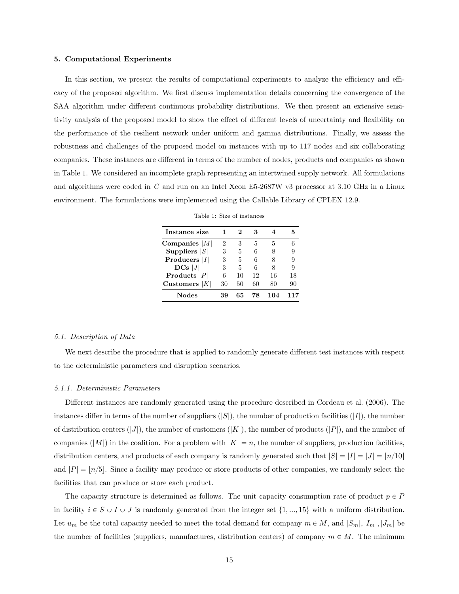#### 5. Computational Experiments

In this section, we present the results of computational experiments to analyze the efficiency and efficacy of the proposed algorithm. We first discuss implementation details concerning the convergence of the SAA algorithm under different continuous probability distributions. We then present an extensive sensitivity analysis of the proposed model to show the effect of different levels of uncertainty and flexibility on the performance of the resilient network under uniform and gamma distributions. Finally, we assess the robustness and challenges of the proposed model on instances with up to 117 nodes and six collaborating companies. These instances are different in terms of the number of nodes, products and companies as shown in Table 1. We considered an incomplete graph representing an intertwined supply network. All formulations and algorithms were coded in C and run on an Intel Xeon E5-2687W v3 processor at 3.10 GHz in a Linux environment. The formulations were implemented using the Callable Library of CPLEX 12.9.

| Instance size   |    |    |    |    |    |
|-----------------|----|----|----|----|----|
| Companies $ M $ | 2  | 3  | 5  | 5  |    |
| Suppliers $ S $ | 3  | 5  | 6  |    | 9  |
| Producers $ I $ | 3  | 5  | 6  | 8  | 9  |
| $DCs$  J        | 3  | 5  | 6  | 8  | 9  |
| Products $ P $  | 6  | 10 | 12 | 16 | 18 |
| Customers $ K $ | 30 | 50 | 60 | 80 | 90 |
| Nodes           |    | 65 | 78 |    |    |

#### 5.1. Description of Data

We next describe the procedure that is applied to randomly generate different test instances with respect to the deterministic parameters and disruption scenarios.

#### 5.1.1. Deterministic Parameters

Different instances are randomly generated using the procedure described in Cordeau et al. (2006). The instances differ in terms of the number of suppliers  $(|S|)$ , the number of production facilities  $(|I|)$ , the number of distribution centers  $(|J|)$ , the number of customers  $(|K|)$ , the number of products  $(|P|)$ , and the number of companies  $(|M|)$  in the coalition. For a problem with  $|K| = n$ , the number of suppliers, production facilities, distribution centers, and products of each company is randomly generated such that  $|S| = |I| = |J| = |n/10|$ and  $|P| = |n/5|$ . Since a facility may produce or store products of other companies, we randomly select the facilities that can produce or store each product.

The capacity structure is determined as follows. The unit capacity consumption rate of product  $p \in P$ in facility  $i \in S \cup I \cup J$  is randomly generated from the integer set  $\{1, ..., 15\}$  with a uniform distribution. Let  $u_m$  be the total capacity needed to meet the total demand for company  $m \in M$ , and  $|S_m|, |I_m|, |J_m|$  be the number of facilities (suppliers, manufactures, distribution centers) of company  $m \in M$ . The minimum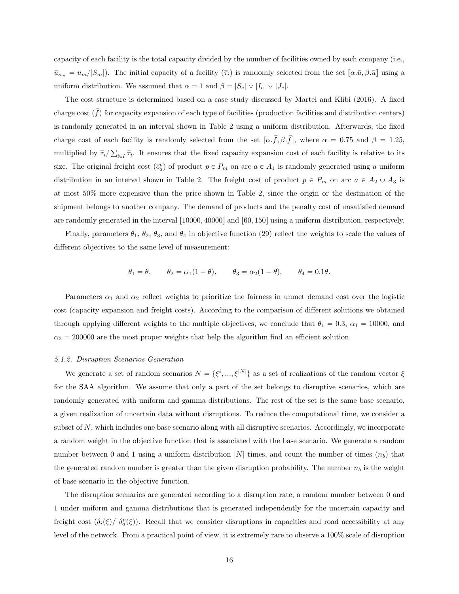capacity of each facility is the total capacity divided by the number of facilities owned by each company (i.e.,  $\bar{u}_{s_m} = u_m/|S_m|$ . The initial capacity of a facility  $(\bar{\tau}_i)$  is randomly selected from the set  $[\alpha \bar{u}, \beta \bar{u}]$  using a uniform distribution. We assumed that  $\alpha = 1$  and  $\beta = |S_c| \vee |I_c| \vee |J_c|$ .

The cost structure is determined based on a case study discussed by Martel and Klibi (2016). A fixed charge cost  $(\bar{f})$  for capacity expansion of each type of facilities (production facilities and distribution centers) is randomly generated in an interval shown in Table 2 using a uniform distribution. Afterwards, the fixed charge cost of each facility is randomly selected from the set  $\left[\alpha \cdot \overline{f}, \beta \cdot \overline{f}\right]$ , where  $\alpha = 0.75$  and  $\beta = 1.25$ , multiplied by  $\bar{\tau}_i/\sum_{i\in I}\bar{\tau}_i$ . It ensures that the fixed capacity expansion cost of each facility is relative to its size. The original freight cost  $(\bar{c}_a^p)$  of product  $p \in P_m$  on arc  $a \in A_1$  is randomly generated using a uniform distribution in an interval shown in Table 2. The freight cost of product  $p \in P_m$  on arc  $a \in A_2 \cup A_3$  is at most 50% more expensive than the price shown in Table 2, since the origin or the destination of the shipment belongs to another company. The demand of products and the penalty cost of unsatisfied demand are randomly generated in the interval  $[10000, 40000]$  and  $[60, 150]$  using a uniform distribution, respectively.

Finally, parameters  $\theta_1$ ,  $\theta_2$ ,  $\theta_3$ , and  $\theta_4$  in objective function (29) reflect the weights to scale the values of different objectives to the same level of measurement:

$$
\theta_1 = \theta
$$
,  $\theta_2 = \alpha_1(1 - \theta)$ ,  $\theta_3 = \alpha_2(1 - \theta)$ ,  $\theta_4 = 0.1\theta$ .

Parameters  $\alpha_1$  and  $\alpha_2$  reflect weights to prioritize the fairness in unmet demand cost over the logistic cost (capacity expansion and freight costs). According to the comparison of different solutions we obtained through applying different weights to the multiple objectives, we conclude that  $\theta_1 = 0.3$ ,  $\alpha_1 = 10000$ , and  $\alpha_2 = 200000$  are the most proper weights that help the algorithm find an efficient solution.

## 5.1.2. Disruption Scenarios Generation

We generate a set of random scenarios  $N = \{\xi^i, ..., \xi^{|N|}\}\$ as a set of realizations of the random vector  $\xi$ for the SAA algorithm. We assume that only a part of the set belongs to disruptive scenarios, which are randomly generated with uniform and gamma distributions. The rest of the set is the same base scenario, a given realization of uncertain data without disruptions. To reduce the computational time, we consider a subset of N, which includes one base scenario along with all disruptive scenarios. Accordingly, we incorporate a random weight in the objective function that is associated with the base scenario. We generate a random number between 0 and 1 using a uniform distribution  $|N|$  times, and count the number of times  $(n_b)$  that the generated random number is greater than the given disruption probability. The number  $n_b$  is the weight of base scenario in the objective function.

The disruption scenarios are generated according to a disruption rate, a random number between 0 and 1 under uniform and gamma distributions that is generated independently for the uncertain capacity and freight cost  $(\delta_i(\xi)/\delta_a^p(\xi))$ . Recall that we consider disruptions in capacities and road accessibility at any level of the network. From a practical point of view, it is extremely rare to observe a 100% scale of disruption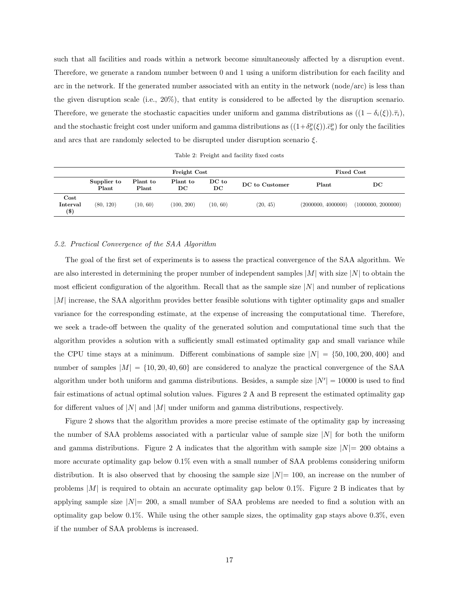such that all facilities and roads within a network become simultaneously affected by a disruption event. Therefore, we generate a random number between 0 and 1 using a uniform distribution for each facility and arc in the network. If the generated number associated with an entity in the network (node/arc) is less than the given disruption scale (i.e., 20%), that entity is considered to be affected by the disruption scenario. Therefore, we generate the stochastic capacities under uniform and gamma distributions as  $((1 - \delta_i(\xi)).\overline{\tau}_i)$ , and the stochastic freight cost under uniform and gamma distributions as  $((1+\delta_a^p(\xi)).\bar{c}_a^p)$  for only the facilities and arcs that are randomly selected to be disrupted under disruption scenario  $\xi$ .

Table 2: Freight and facility fixed costs

|                                  |                      |                   | Fixed Cost     |                             |                |                    |                    |
|----------------------------------|----------------------|-------------------|----------------|-----------------------------|----------------|--------------------|--------------------|
|                                  | Supplier to<br>Plant | Plant to<br>Plant | Plant to<br>DС | $DC$ to<br>$_{\mathrm{DC}}$ | DC to Customer | Plant              | $_{\rm DC}$        |
| $\rm Cost$<br>Interval<br>$($ \$ | (80, 120)            | (10, 60)          | (100, 200)     | (10, 60)                    | (20, 45)       | (2000000, 4000000) | (1000000, 2000000) |

# 5.2. Practical Convergence of the SAA Algorithm

The goal of the first set of experiments is to assess the practical convergence of the SAA algorithm. We are also interested in determining the proper number of independent samples  $|M|$  with size  $|N|$  to obtain the most efficient configuration of the algorithm. Recall that as the sample size  $|N|$  and number of replications |M| increase, the SAA algorithm provides better feasible solutions with tighter optimality gaps and smaller variance for the corresponding estimate, at the expense of increasing the computational time. Therefore, we seek a trade-off between the quality of the generated solution and computational time such that the algorithm provides a solution with a sufficiently small estimated optimality gap and small variance while the CPU time stays at a minimum. Different combinations of sample size  $|N| = \{50, 100, 200, 400\}$  and number of samples  $|M| = \{10, 20, 40, 60\}$  are considered to analyze the practical convergence of the SAA algorithm under both uniform and gamma distributions. Besides, a sample size  $|N'| = 10000$  is used to find fair estimations of actual optimal solution values. Figures 2 A and B represent the estimated optimality gap for different values of  $|N|$  and  $|M|$  under uniform and gamma distributions, respectively.

Figure 2 shows that the algorithm provides a more precise estimate of the optimality gap by increasing the number of SAA problems associated with a particular value of sample size  $|N|$  for both the uniform and gamma distributions. Figure 2 A indicates that the algorithm with sample size  $|N|=200$  obtains a more accurate optimality gap below 0.1% even with a small number of SAA problems considering uniform distribution. It is also observed that by choosing the sample size  $|N|=100$ , an increase on the number of problems  $|M|$  is required to obtain an accurate optimality gap below 0.1%. Figure 2 B indicates that by applying sample size  $|N|=200$ , a small number of SAA problems are needed to find a solution with an optimality gap below 0.1%. While using the other sample sizes, the optimality gap stays above 0.3%, even if the number of SAA problems is increased.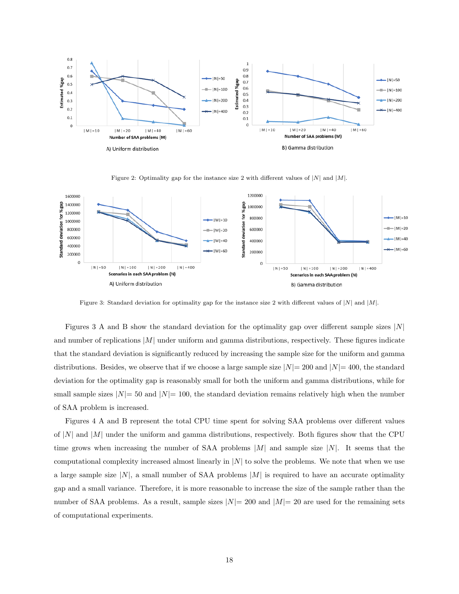

Figure 2: Optimality gap for the instance size 2 with different values of  $|N|$  and  $|M|$ .



Figure 3: Standard deviation for optimality gap for the instance size 2 with different values of  $|N|$  and  $|M|$ .

Figures 3 A and B show the standard deviation for the optimality gap over different sample sizes  $|N|$ and number of replications  $|M|$  under uniform and gamma distributions, respectively. These figures indicate that the standard deviation is significantly reduced by increasing the sample size for the uniform and gamma distributions. Besides, we observe that if we choose a large sample size  $|N|= 200$  and  $|N|= 400$ , the standard deviation for the optimality gap is reasonably small for both the uniform and gamma distributions, while for small sample sizes  $|N|=50$  and  $|N|=100$ , the standard deviation remains relatively high when the number of SAA problem is increased.

Figures 4 A and B represent the total CPU time spent for solving SAA problems over different values of  $|N|$  and  $|M|$  under the uniform and gamma distributions, respectively. Both figures show that the CPU time grows when increasing the number of SAA problems  $|M|$  and sample size  $|N|$ . It seems that the computational complexity increased almost linearly in  $|N|$  to solve the problems. We note that when we use a large sample size  $|N|$ , a small number of SAA problems  $|M|$  is required to have an accurate optimality gap and a small variance. Therefore, it is more reasonable to increase the size of the sample rather than the number of SAA problems. As a result, sample sizes  $|N|=200$  and  $|M|=20$  are used for the remaining sets of computational experiments.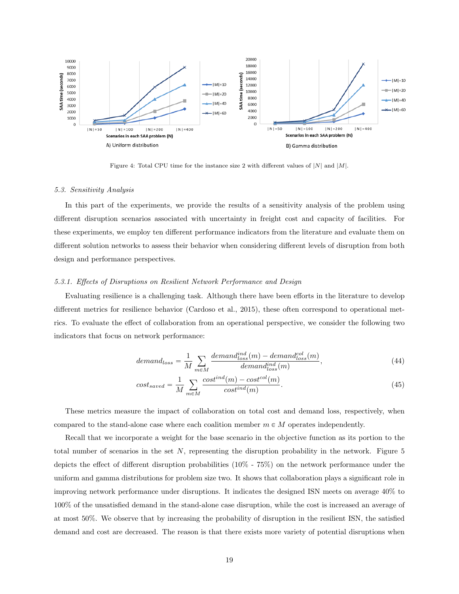

Figure 4: Total CPU time for the instance size 2 with different values of  $|N|$  and  $|M|$ .

# 5.3. Sensitivity Analysis

In this part of the experiments, we provide the results of a sensitivity analysis of the problem using different disruption scenarios associated with uncertainty in freight cost and capacity of facilities. For these experiments, we employ ten different performance indicators from the literature and evaluate them on different solution networks to assess their behavior when considering different levels of disruption from both design and performance perspectives.

## 5.3.1. Effects of Disruptions on Resilient Network Performance and Design

Evaluating resilience is a challenging task. Although there have been efforts in the literature to develop different metrics for resilience behavior (Cardoso et al., 2015), these often correspond to operational metrics. To evaluate the effect of collaboration from an operational perspective, we consider the following two indicators that focus on network performance:

$$
demand_{loss} = \frac{1}{M} \sum_{m \in M} \frac{demand_{loss}^{ind}(m) - demand_{loss}^{col}(m)}{demand_{loss}^{ind}(m)},
$$
\n
$$
(44)
$$

$$
cost_{saved} = \frac{1}{M} \sum_{m \in M} \frac{cost^{ind}(m) - cost^{col}(m)}{cost^{ind}(m)}.
$$
\n(45)

These metrics measure the impact of collaboration on total cost and demand loss, respectively, when compared to the stand-alone case where each coalition member  $m \in M$  operates independently.

Recall that we incorporate a weight for the base scenario in the objective function as its portion to the total number of scenarios in the set  $N$ , representing the disruption probability in the network. Figure  $5$ depicts the effect of different disruption probabilities (10% - 75%) on the network performance under the uniform and gamma distributions for problem size two. It shows that collaboration plays a significant role in improving network performance under disruptions. It indicates the designed ISN meets on average 40% to 100% of the unsatisfied demand in the stand-alone case disruption, while the cost is increased an average of at most 50%. We observe that by increasing the probability of disruption in the resilient ISN, the satisfied demand and cost are decreased. The reason is that there exists more variety of potential disruptions when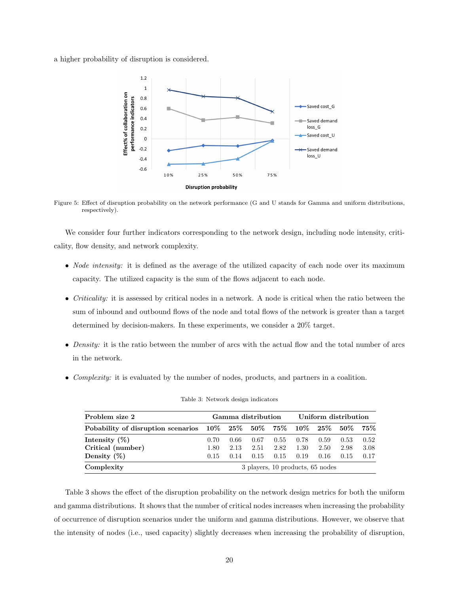a higher probability of disruption is considered.



Figure 5: Effect of disruption probability on the network performance (G and U stands for Gamma and uniform distributions, respectively).

We consider four further indicators corresponding to the network design, including node intensity, criticality, flow density, and network complexity.

- *Node intensity:* it is defined as the average of the utilized capacity of each node over its maximum capacity. The utilized capacity is the sum of the flows adjacent to each node.
- Criticality: it is assessed by critical nodes in a network. A node is critical when the ratio between the sum of inbound and outbound flows of the node and total flows of the network is greater than a target determined by decision-makers. In these experiments, we consider a 20% target.
- Density: it is the ratio between the number of arcs with the actual flow and the total number of arcs in the network.
- Complexity: it is evaluated by the number of nodes, products, and partners in a coalition.

| Problem size 2                                                     |                                  |      | Gamma distribution |      | Uniform distribution |      |      |      |
|--------------------------------------------------------------------|----------------------------------|------|--------------------|------|----------------------|------|------|------|
| Pobability of disruption scenarios 10% 25% 50% 75% 10% 25% 50% 75% |                                  |      |                    |      |                      |      |      |      |
| Intensity $(\%)$                                                   | 0.70                             | 0.66 | 0.67               | 0.55 | 0.78                 | 0.59 | 0.53 | 0.52 |
| Critical (number)                                                  | 1.80                             | 2.13 | 2.51               | 2.82 | 1.30                 | 2.50 | 2.98 | 3.08 |
| Density $(\%)$                                                     | 0.15                             | 0.14 | 0.15               | 0.15 | 0.19                 | 0.16 | 0.15 | 0.17 |
| Complexity                                                         | 3 players, 10 products, 65 nodes |      |                    |      |                      |      |      |      |

Table 3: Network design indicators

Table 3 shows the effect of the disruption probability on the network design metrics for both the uniform and gamma distributions. It shows that the number of critical nodes increases when increasing the probability of occurrence of disruption scenarios under the uniform and gamma distributions. However, we observe that the intensity of nodes (i.e., used capacity) slightly decreases when increasing the probability of disruption,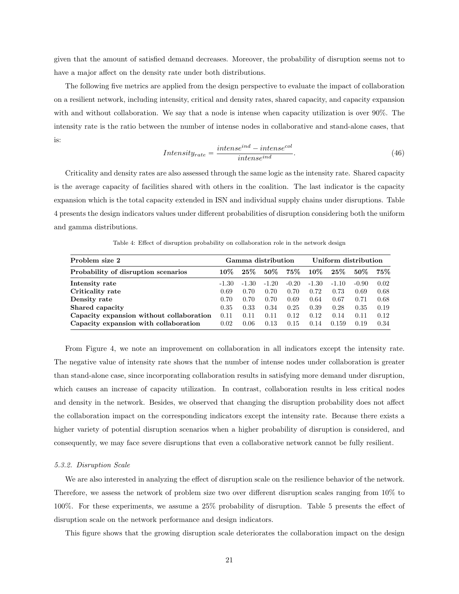given that the amount of satisfied demand decreases. Moreover, the probability of disruption seems not to have a major affect on the density rate under both distributions.

The following five metrics are applied from the design perspective to evaluate the impact of collaboration on a resilient network, including intensity, critical and density rates, shared capacity, and capacity expansion with and without collaboration. We say that a node is intense when capacity utilization is over 90%. The intensity rate is the ratio between the number of intense nodes in collaborative and stand-alone cases, that is:

$$
Intensity_{rate} = \frac{intense^{ind} - intense^{col}}{intense^{ind}}.
$$
\n(46)

Criticality and density rates are also assessed through the same logic as the intensity rate. Shared capacity is the average capacity of facilities shared with others in the coalition. The last indicator is the capacity expansion which is the total capacity extended in ISN and individual supply chains under disruptions. Table 4 presents the design indicators values under different probabilities of disruption considering both the uniform and gamma distributions.

| Problem size 2                           | Gamma distribution |         |         |         | Uniform distribution |         |         |      |
|------------------------------------------|--------------------|---------|---------|---------|----------------------|---------|---------|------|
| Probability of disruption scenarios      | $10\%$             | $25\%$  | $50\%$  | $75\%$  | $10\%$               | $25\%$  | $50\%$  | 75%  |
| Intensity rate                           | $-1.30$            | $-1.30$ | $-1.20$ | $-0.20$ | $-1.30$              | $-1.10$ | $-0.90$ | 0.02 |
| Criticality rate                         | 0.69               | 0.70    | 0.70    | 0.70    | 0.72                 | 0.73    | 0.69    | 0.68 |
| Density rate                             | 0.70               | 0.70    | 0.70    | 0.69    | 0.64                 | 0.67    | 0.71    | 0.68 |
| Shared capacity                          | 0.35               | 0.33    | 0.34    | 0.25    | 0.39                 | 0.28    | 0.35    | 0.19 |
| Capacity expansion without collaboration | 0.11               | 0.11    | 0.11    | 0.12    | 0.12                 | 0.14    | 0.11    | 0.12 |
| Capacity expansion with collaboration    | 0.02               | 0.06    | 0.13    | 0.15    | 0.14                 | 0.159   | 0.19    | 0.34 |

Table 4: Effect of disruption probability on collaboration role in the network design

From Figure 4, we note an improvement on collaboration in all indicators except the intensity rate. The negative value of intensity rate shows that the number of intense nodes under collaboration is greater than stand-alone case, since incorporating collaboration results in satisfying more demand under disruption, which causes an increase of capacity utilization. In contrast, collaboration results in less critical nodes and density in the network. Besides, we observed that changing the disruption probability does not affect the collaboration impact on the corresponding indicators except the intensity rate. Because there exists a higher variety of potential disruption scenarios when a higher probability of disruption is considered, and consequently, we may face severe disruptions that even a collaborative network cannot be fully resilient.

## 5.3.2. Disruption Scale

We are also interested in analyzing the effect of disruption scale on the resilience behavior of the network. Therefore, we assess the network of problem size two over different disruption scales ranging from 10% to 100%. For these experiments, we assume a 25% probability of disruption. Table 5 presents the effect of disruption scale on the network performance and design indicators.

This figure shows that the growing disruption scale deteriorates the collaboration impact on the design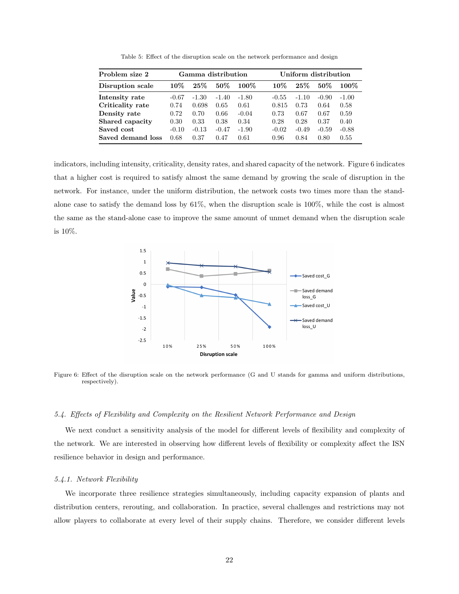| Problem size 2    |         | Gamma distribution |         |         | Uniform distribution |         |         |         |  |
|-------------------|---------|--------------------|---------|---------|----------------------|---------|---------|---------|--|
| Disruption scale  | $10\%$  | 25%                | $50\%$  | $100\%$ | $10\%$               | 25%     | $50\%$  | $100\%$ |  |
| Intensity rate    | $-0.67$ | $-1.30$            | $-1.40$ | $-1.80$ | $-0.55$              | $-1.10$ | $-0.90$ | $-1.00$ |  |
| Criticality rate  | 0.74    | 0.698              | 0.65    | 0.61    | 0.815                | 0.73    | 0.64    | 0.58    |  |
| Density rate      | 0.72    | 0.70               | 0.66    | $-0.04$ | 0.73                 | 0.67    | 0.67    | 0.59    |  |
| Shared capacity   | 0.30    | 0.33               | 0.38    | 0.34    | 0.28                 | 0.28    | 0.37    | 0.40    |  |
| Saved cost        | $-0.10$ | $-0.13$            | $-0.47$ | $-1.90$ | $-0.02$              | $-0.49$ | $-0.59$ | $-0.88$ |  |
| Saved demand loss | 0.68    | 0.37               | 0.47    | 0.61    | 0.96                 | 0.84    | 0.80    | 0.55    |  |
|                   |         |                    |         |         |                      |         |         |         |  |

Table 5: Effect of the disruption scale on the network performance and design

indicators, including intensity, criticality, density rates, and shared capacity of the network. Figure 6 indicates that a higher cost is required to satisfy almost the same demand by growing the scale of disruption in the network. For instance, under the uniform distribution, the network costs two times more than the standalone case to satisfy the demand loss by 61%, when the disruption scale is 100%, while the cost is almost the same as the stand-alone case to improve the same amount of unmet demand when the disruption scale is 10%.



Figure 6: Effect of the disruption scale on the network performance (G and U stands for gamma and uniform distributions, respectively).

# 5.4. Effects of Flexibility and Complexity on the Resilient Network Performance and Design

We next conduct a sensitivity analysis of the model for different levels of flexibility and complexity of the network. We are interested in observing how different levels of flexibility or complexity affect the ISN resilience behavior in design and performance.

# 5.4.1. Network Flexibility

We incorporate three resilience strategies simultaneously, including capacity expansion of plants and distribution centers, rerouting, and collaboration. In practice, several challenges and restrictions may not allow players to collaborate at every level of their supply chains. Therefore, we consider different levels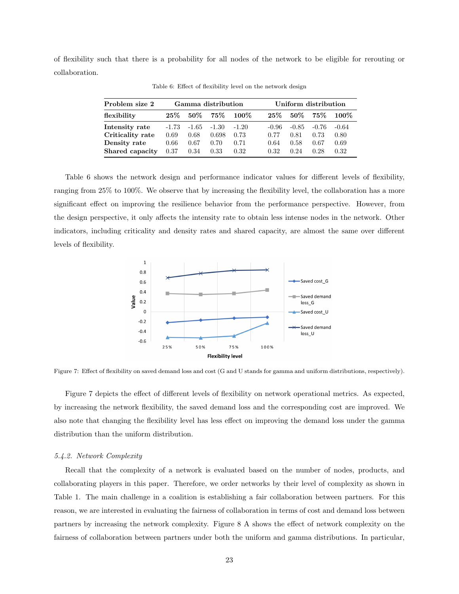of flexibility such that there is a probability for all nodes of the network to be eligible for rerouting or collaboration.

| Problem size 2                   | Gamma distribution |              |               |              | Uniform distribution |              |              |              |  |
|----------------------------------|--------------------|--------------|---------------|--------------|----------------------|--------------|--------------|--------------|--|
| flexibility                      | $25\%$             | $50\%$       | $75\%$        | $100\%$      | $25\%$               | 50%          | $75\%$       | $100\%$      |  |
| Intensity rate                   | $-1.73$            | $-1.65$      | $-1.30$       | $-1.20$      | -0.96                | $-0.85$      | $-0.76$      | $-0.64$      |  |
| Criticality rate<br>Density rate | 0.69<br>0.66       | 0.68<br>0.67 | 0.698<br>0.70 | 0.73<br>0.71 | 0.77<br>0.64         | 0.81<br>0.58 | 0.73<br>0.67 | 0.80<br>0.69 |  |
| Shared capacity                  | 0.37               | 0.34         | 0.33          | 0.32         | 0.32                 | 0.24         | 0.28         | 0.32         |  |

Table 6: Effect of flexibility level on the network design

Table 6 shows the network design and performance indicator values for different levels of flexibility, ranging from 25% to 100%. We observe that by increasing the flexibility level, the collaboration has a more significant effect on improving the resilience behavior from the performance perspective. However, from the design perspective, it only affects the intensity rate to obtain less intense nodes in the network. Other indicators, including criticality and density rates and shared capacity, are almost the same over different levels of flexibility.



Figure 7: Effect of flexibility on saved demand loss and cost (G and U stands for gamma and uniform distributions, respectively).

Figure 7 depicts the effect of different levels of flexibility on network operational metrics. As expected, by increasing the network flexibility, the saved demand loss and the corresponding cost are improved. We also note that changing the flexibility level has less effect on improving the demand loss under the gamma distribution than the uniform distribution.

## 5.4.2. Network Complexity

Recall that the complexity of a network is evaluated based on the number of nodes, products, and collaborating players in this paper. Therefore, we order networks by their level of complexity as shown in Table 1. The main challenge in a coalition is establishing a fair collaboration between partners. For this reason, we are interested in evaluating the fairness of collaboration in terms of cost and demand loss between partners by increasing the network complexity. Figure 8 A shows the effect of network complexity on the fairness of collaboration between partners under both the uniform and gamma distributions. In particular,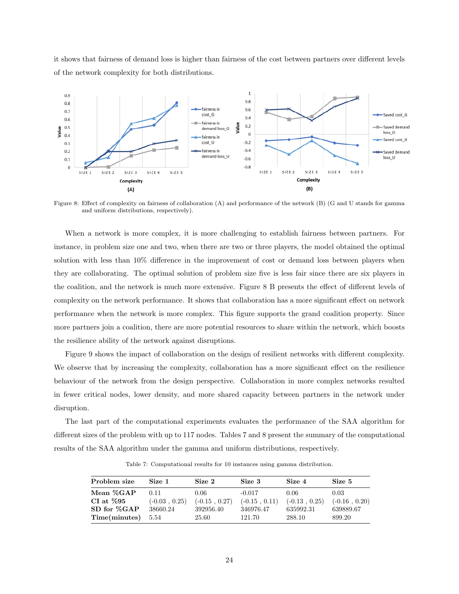it shows that fairness of demand loss is higher than fairness of the cost between partners over different levels of the network complexity for both distributions.



Figure 8: Effect of complexity on fairness of collaboration (A) and performance of the network (B) (G and U stands for gamma and uniform distributions, respectively).

When a network is more complex, it is more challenging to establish fairness between partners. For instance, in problem size one and two, when there are two or three players, the model obtained the optimal solution with less than 10% difference in the improvement of cost or demand loss between players when they are collaborating. The optimal solution of problem size five is less fair since there are six players in the coalition, and the network is much more extensive. Figure 8 B presents the effect of different levels of complexity on the network performance. It shows that collaboration has a more significant effect on network performance when the network is more complex. This figure supports the grand coalition property. Since more partners join a coalition, there are more potential resources to share within the network, which boosts the resilience ability of the network against disruptions.

Figure 9 shows the impact of collaboration on the design of resilient networks with different complexity. We observe that by increasing the complexity, collaboration has a more significant effect on the resilience behaviour of the network from the design perspective. Collaboration in more complex networks resulted in fewer critical nodes, lower density, and more shared capacity between partners in the network under disruption.

The last part of the computational experiments evaluates the performance of the SAA algorithm for different sizes of the problem with up to 117 nodes. Tables 7 and 8 present the summary of the computational results of the SAA algorithm under the gamma and uniform distributions, respectively.

| Problem size  | Size 1          | Size 2          | Size 3          | Size 4          | Size 5          |
|---------------|-----------------|-----------------|-----------------|-----------------|-----------------|
| Mean %GAP     | 0.11            | 0.06            | $-0.017$        | 0.06            | 0.03            |
| CI at $\%95$  | $(-0.03, 0.25)$ | $(-0.15, 0.27)$ | $(-0.15, 0.11)$ | $(-0.13, 0.25)$ | $(-0.16, 0.20)$ |
| SD for %GAP   | 38660.24        | 392956.40       | 346976.47       | 635992.31       | 639889.67       |
| Time(minutes) | 5.54            | 25.60           | 121.70          | 288.10          | 899.20          |

Table 7: Computational results for 10 instances using gamma distribution.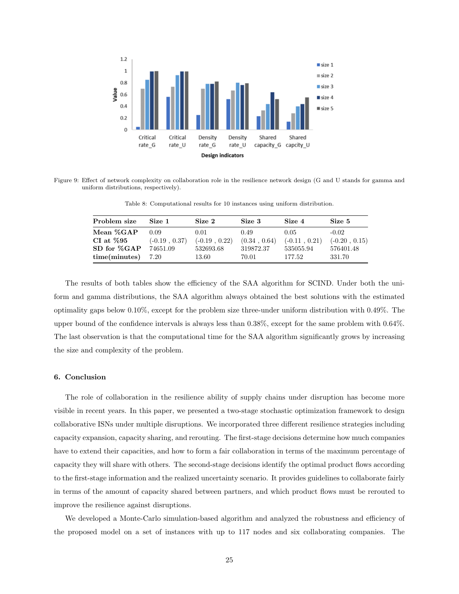

Figure 9: Effect of network complexity on collaboration role in the resilience network design (G and U stands for gamma and uniform distributions, respectively).

Table 8: Computational results for 10 instances using uniform distribution.

| Problem size   | Size 1          | Size 2          | Size 3       | Size 4          | Size 5          |
|----------------|-----------------|-----------------|--------------|-----------------|-----------------|
| Mean %GAP      | 0.09            | 0.01            | 0.49         | 0.05            | $-0.02$         |
| $CI$ at $\%95$ | $(-0.19, 0.37)$ | $(-0.19, 0.22)$ | (0.34, 0.64) | $(-0.11, 0.21)$ | $(-0.20, 0.15)$ |
| SD for %GAP    | 74651.09        | 532693.68       | 319872.37    | 535055.94       | 576401.48       |
| time(minutes)  | - 7.20          | 13.60           | 70.01        | 177.52          | 331.70          |

The results of both tables show the efficiency of the SAA algorithm for SCIND. Under both the uniform and gamma distributions, the SAA algorithm always obtained the best solutions with the estimated optimality gaps below 0.10%, except for the problem size three-under uniform distribution with 0.49%. The upper bound of the confidence intervals is always less than 0.38%, except for the same problem with 0.64%. The last observation is that the computational time for the SAA algorithm significantly grows by increasing the size and complexity of the problem.

# 6. Conclusion

The role of collaboration in the resilience ability of supply chains under disruption has become more visible in recent years. In this paper, we presented a two-stage stochastic optimization framework to design collaborative ISNs under multiple disruptions. We incorporated three different resilience strategies including capacity expansion, capacity sharing, and rerouting. The first-stage decisions determine how much companies have to extend their capacities, and how to form a fair collaboration in terms of the maximum percentage of capacity they will share with others. The second-stage decisions identify the optimal product flows according to the first-stage information and the realized uncertainty scenario. It provides guidelines to collaborate fairly in terms of the amount of capacity shared between partners, and which product flows must be rerouted to improve the resilience against disruptions.

We developed a Monte-Carlo simulation-based algorithm and analyzed the robustness and efficiency of the proposed model on a set of instances with up to 117 nodes and six collaborating companies. The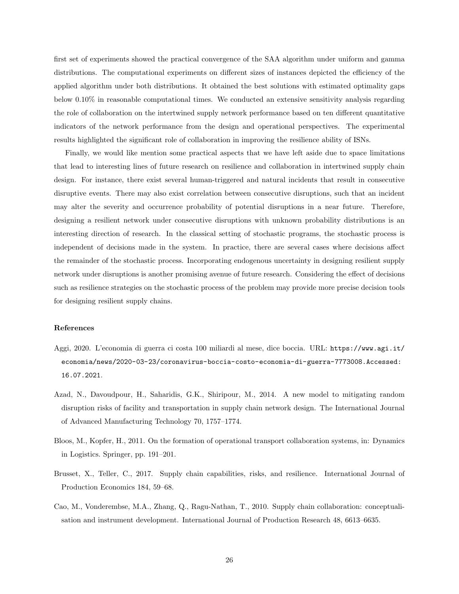first set of experiments showed the practical convergence of the SAA algorithm under uniform and gamma distributions. The computational experiments on different sizes of instances depicted the efficiency of the applied algorithm under both distributions. It obtained the best solutions with estimated optimality gaps below 0.10% in reasonable computational times. We conducted an extensive sensitivity analysis regarding the role of collaboration on the intertwined supply network performance based on ten different quantitative indicators of the network performance from the design and operational perspectives. The experimental results highlighted the significant role of collaboration in improving the resilience ability of ISNs.

Finally, we would like mention some practical aspects that we have left aside due to space limitations that lead to interesting lines of future research on resilience and collaboration in intertwined supply chain design. For instance, there exist several human-triggered and natural incidents that result in consecutive disruptive events. There may also exist correlation between consecutive disruptions, such that an incident may alter the severity and occurrence probability of potential disruptions in a near future. Therefore, designing a resilient network under consecutive disruptions with unknown probability distributions is an interesting direction of research. In the classical setting of stochastic programs, the stochastic process is independent of decisions made in the system. In practice, there are several cases where decisions affect the remainder of the stochastic process. Incorporating endogenous uncertainty in designing resilient supply network under disruptions is another promising avenue of future research. Considering the effect of decisions such as resilience strategies on the stochastic process of the problem may provide more precise decision tools for designing resilient supply chains.

# References

- Aggi, 2020. L'economia di guerra ci costa 100 miliardi al mese, dice boccia. URL: https://www.agi.it/ economia/news/2020-03-23/coronavirus-boccia-costo-economia-di-guerra-7773008.Accessed: 16.07.2021.
- Azad, N., Davoudpour, H., Saharidis, G.K., Shiripour, M., 2014. A new model to mitigating random disruption risks of facility and transportation in supply chain network design. The International Journal of Advanced Manufacturing Technology 70, 1757–1774.
- Bloos, M., Kopfer, H., 2011. On the formation of operational transport collaboration systems, in: Dynamics in Logistics. Springer, pp. 191–201.
- Brusset, X., Teller, C., 2017. Supply chain capabilities, risks, and resilience. International Journal of Production Economics 184, 59–68.
- Cao, M., Vonderembse, M.A., Zhang, Q., Ragu-Nathan, T., 2010. Supply chain collaboration: conceptualisation and instrument development. International Journal of Production Research 48, 6613–6635.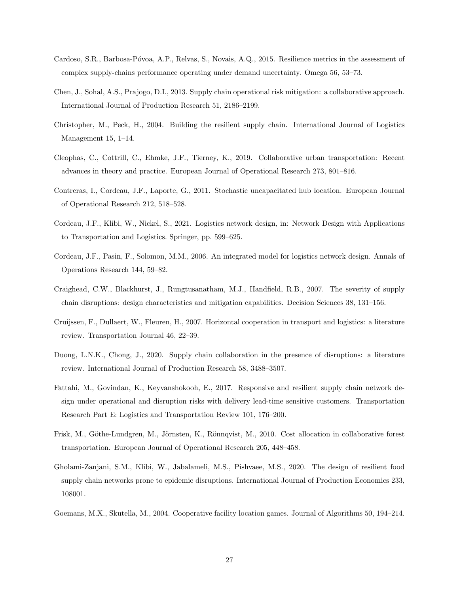- Cardoso, S.R., Barbosa-Póvoa, A.P., Relvas, S., Novais, A.Q., 2015. Resilience metrics in the assessment of complex supply-chains performance operating under demand uncertainty. Omega 56, 53–73.
- Chen, J., Sohal, A.S., Prajogo, D.I., 2013. Supply chain operational risk mitigation: a collaborative approach. International Journal of Production Research 51, 2186–2199.
- Christopher, M., Peck, H., 2004. Building the resilient supply chain. International Journal of Logistics Management 15, 1–14.
- Cleophas, C., Cottrill, C., Ehmke, J.F., Tierney, K., 2019. Collaborative urban transportation: Recent advances in theory and practice. European Journal of Operational Research 273, 801–816.
- Contreras, I., Cordeau, J.F., Laporte, G., 2011. Stochastic uncapacitated hub location. European Journal of Operational Research 212, 518–528.
- Cordeau, J.F., Klibi, W., Nickel, S., 2021. Logistics network design, in: Network Design with Applications to Transportation and Logistics. Springer, pp. 599–625.
- Cordeau, J.F., Pasin, F., Solomon, M.M., 2006. An integrated model for logistics network design. Annals of Operations Research 144, 59–82.
- Craighead, C.W., Blackhurst, J., Rungtusanatham, M.J., Handfield, R.B., 2007. The severity of supply chain disruptions: design characteristics and mitigation capabilities. Decision Sciences 38, 131–156.
- Cruijssen, F., Dullaert, W., Fleuren, H., 2007. Horizontal cooperation in transport and logistics: a literature review. Transportation Journal 46, 22–39.
- Duong, L.N.K., Chong, J., 2020. Supply chain collaboration in the presence of disruptions: a literature review. International Journal of Production Research 58, 3488–3507.
- Fattahi, M., Govindan, K., Keyvanshokooh, E., 2017. Responsive and resilient supply chain network design under operational and disruption risks with delivery lead-time sensitive customers. Transportation Research Part E: Logistics and Transportation Review 101, 176–200.
- Frisk, M., Göthe-Lundgren, M., Jörnsten, K., Rönnqvist, M., 2010. Cost allocation in collaborative forest transportation. European Journal of Operational Research 205, 448–458.
- Gholami-Zanjani, S.M., Klibi, W., Jabalameli, M.S., Pishvaee, M.S., 2020. The design of resilient food supply chain networks prone to epidemic disruptions. International Journal of Production Economics 233, 108001.
- Goemans, M.X., Skutella, M., 2004. Cooperative facility location games. Journal of Algorithms 50, 194–214.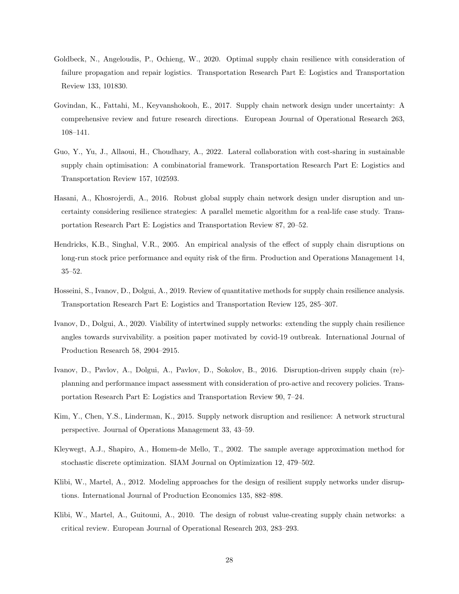- Goldbeck, N., Angeloudis, P., Ochieng, W., 2020. Optimal supply chain resilience with consideration of failure propagation and repair logistics. Transportation Research Part E: Logistics and Transportation Review 133, 101830.
- Govindan, K., Fattahi, M., Keyvanshokooh, E., 2017. Supply chain network design under uncertainty: A comprehensive review and future research directions. European Journal of Operational Research 263, 108–141.
- Guo, Y., Yu, J., Allaoui, H., Choudhary, A., 2022. Lateral collaboration with cost-sharing in sustainable supply chain optimisation: A combinatorial framework. Transportation Research Part E: Logistics and Transportation Review 157, 102593.
- Hasani, A., Khosrojerdi, A., 2016. Robust global supply chain network design under disruption and uncertainty considering resilience strategies: A parallel memetic algorithm for a real-life case study. Transportation Research Part E: Logistics and Transportation Review 87, 20–52.
- Hendricks, K.B., Singhal, V.R., 2005. An empirical analysis of the effect of supply chain disruptions on long-run stock price performance and equity risk of the firm. Production and Operations Management 14, 35–52.
- Hosseini, S., Ivanov, D., Dolgui, A., 2019. Review of quantitative methods for supply chain resilience analysis. Transportation Research Part E: Logistics and Transportation Review 125, 285–307.
- Ivanov, D., Dolgui, A., 2020. Viability of intertwined supply networks: extending the supply chain resilience angles towards survivability. a position paper motivated by covid-19 outbreak. International Journal of Production Research 58, 2904–2915.
- Ivanov, D., Pavlov, A., Dolgui, A., Pavlov, D., Sokolov, B., 2016. Disruption-driven supply chain (re) planning and performance impact assessment with consideration of pro-active and recovery policies. Transportation Research Part E: Logistics and Transportation Review 90, 7–24.
- Kim, Y., Chen, Y.S., Linderman, K., 2015. Supply network disruption and resilience: A network structural perspective. Journal of Operations Management 33, 43–59.
- Kleywegt, A.J., Shapiro, A., Homem-de Mello, T., 2002. The sample average approximation method for stochastic discrete optimization. SIAM Journal on Optimization 12, 479–502.
- Klibi, W., Martel, A., 2012. Modeling approaches for the design of resilient supply networks under disruptions. International Journal of Production Economics 135, 882–898.
- Klibi, W., Martel, A., Guitouni, A., 2010. The design of robust value-creating supply chain networks: a critical review. European Journal of Operational Research 203, 283–293.